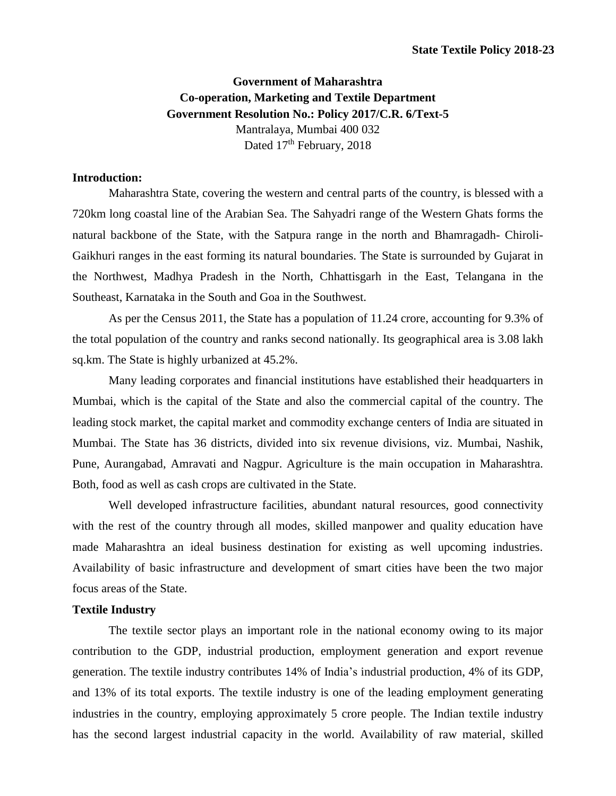# **Government of Maharashtra Co-operation, Marketing and Textile Department Government Resolution No.: Policy 2017/C.R. 6/Text-5** Mantralaya, Mumbai 400 032 Dated 17<sup>th</sup> February, 2018

# **Introduction:**

Maharashtra State, covering the western and central parts of the country, is blessed with a 720km long coastal line of the Arabian Sea. The Sahyadri range of the Western Ghats forms the natural backbone of the State, with the Satpura range in the north and Bhamragadh- Chiroli-Gaikhuri ranges in the east forming its natural boundaries. The State is surrounded by Gujarat in the Northwest, Madhya Pradesh in the North, Chhattisgarh in the East, Telangana in the Southeast, Karnataka in the South and Goa in the Southwest.

As per the Census 2011, the State has a population of 11.24 crore, accounting for 9.3% of the total population of the country and ranks second nationally. Its geographical area is 3.08 lakh sq.km. The State is highly urbanized at 45.2%.

Many leading corporates and financial institutions have established their headquarters in Mumbai, which is the capital of the State and also the commercial capital of the country. The leading stock market, the capital market and commodity exchange centers of India are situated in Mumbai. The State has 36 districts, divided into six revenue divisions, viz. Mumbai, Nashik, Pune, Aurangabad, Amravati and Nagpur. Agriculture is the main occupation in Maharashtra. Both, food as well as cash crops are cultivated in the State.

Well developed infrastructure facilities, abundant natural resources, good connectivity with the rest of the country through all modes, skilled manpower and quality education have made Maharashtra an ideal business destination for existing as well upcoming industries. Availability of basic infrastructure and development of smart cities have been the two major focus areas of the State.

#### **Textile Industry**

The textile sector plays an important role in the national economy owing to its major contribution to the GDP, industrial production, employment generation and export revenue generation. The textile industry contributes 14% of India's industrial production, 4% of its GDP, and 13% of its total exports. The textile industry is one of the leading employment generating industries in the country, employing approximately 5 crore people. The Indian textile industry has the second largest industrial capacity in the world. Availability of raw material, skilled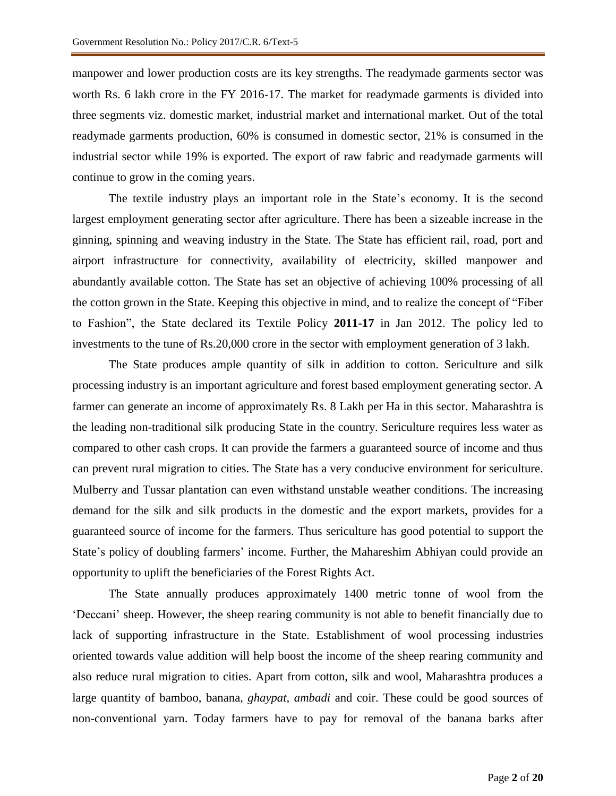manpower and lower production costs are its key strengths. The readymade garments sector was worth Rs. 6 lakh crore in the FY 2016-17. The market for readymade garments is divided into three segments viz. domestic market, industrial market and international market. Out of the total readymade garments production, 60% is consumed in domestic sector, 21% is consumed in the industrial sector while 19% is exported. The export of raw fabric and readymade garments will continue to grow in the coming years.

The textile industry plays an important role in the State's economy. It is the second largest employment generating sector after agriculture. There has been a sizeable increase in the ginning, spinning and weaving industry in the State. The State has efficient rail, road, port and airport infrastructure for connectivity, availability of electricity, skilled manpower and abundantly available cotton. The State has set an objective of achieving 100% processing of all the cotton grown in the State. Keeping this objective in mind, and to realize the concept of "Fiber to Fashion", the State declared its Textile Policy **2011-17** in Jan 2012. The policy led to investments to the tune of Rs.20,000 crore in the sector with employment generation of 3 lakh.

The State produces ample quantity of silk in addition to cotton. Sericulture and silk processing industry is an important agriculture and forest based employment generating sector. A farmer can generate an income of approximately Rs. 8 Lakh per Ha in this sector. Maharashtra is the leading non-traditional silk producing State in the country. Sericulture requires less water as compared to other cash crops. It can provide the farmers a guaranteed source of income and thus can prevent rural migration to cities. The State has a very conducive environment for sericulture. Mulberry and Tussar plantation can even withstand unstable weather conditions. The increasing demand for the silk and silk products in the domestic and the export markets, provides for a guaranteed source of income for the farmers. Thus sericulture has good potential to support the State's policy of doubling farmers' income. Further, the Mahareshim Abhiyan could provide an opportunity to uplift the beneficiaries of the Forest Rights Act.

The State annually produces approximately 1400 metric tonne of wool from the 'Deccani' sheep. However, the sheep rearing community is not able to benefit financially due to lack of supporting infrastructure in the State. Establishment of wool processing industries oriented towards value addition will help boost the income of the sheep rearing community and also reduce rural migration to cities. Apart from cotton, silk and wool, Maharashtra produces a large quantity of bamboo, banana, *ghaypat, ambadi* and coir. These could be good sources of non-conventional yarn. Today farmers have to pay for removal of the banana barks after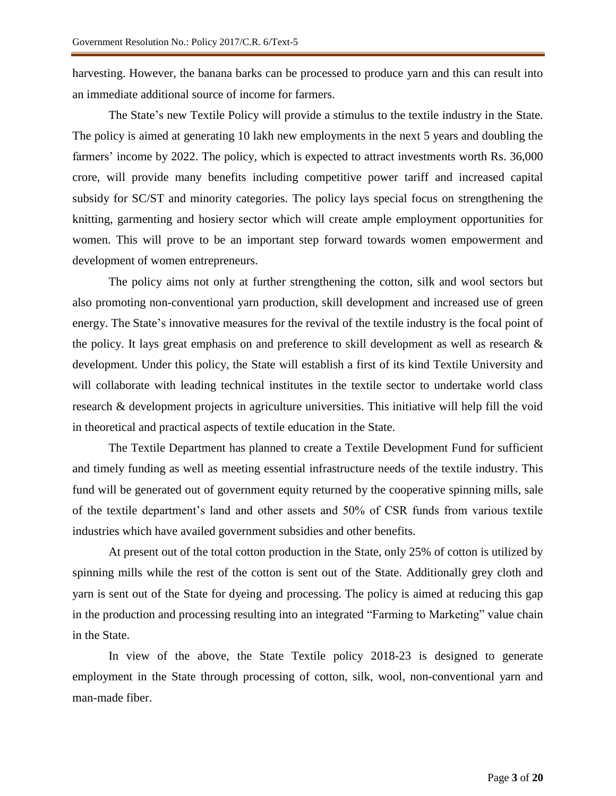harvesting. However, the banana barks can be processed to produce yarn and this can result into an immediate additional source of income for farmers.

The State's new Textile Policy will provide a stimulus to the textile industry in the State. The policy is aimed at generating 10 lakh new employments in the next 5 years and doubling the farmers' income by 2022. The policy, which is expected to attract investments worth Rs. 36,000 crore, will provide many benefits including competitive power tariff and increased capital subsidy for SC/ST and minority categories. The policy lays special focus on strengthening the knitting, garmenting and hosiery sector which will create ample employment opportunities for women. This will prove to be an important step forward towards women empowerment and development of women entrepreneurs.

The policy aims not only at further strengthening the cotton, silk and wool sectors but also promoting non-conventional yarn production, skill development and increased use of green energy. The State's innovative measures for the revival of the textile industry is the focal point of the policy. It lays great emphasis on and preference to skill development as well as research & development. Under this policy, the State will establish a first of its kind Textile University and will collaborate with leading technical institutes in the textile sector to undertake world class research & development projects in agriculture universities. This initiative will help fill the void in theoretical and practical aspects of textile education in the State.

The Textile Department has planned to create a Textile Development Fund for sufficient and timely funding as well as meeting essential infrastructure needs of the textile industry. This fund will be generated out of government equity returned by the cooperative spinning mills, sale of the textile department's land and other assets and 50% of CSR funds from various textile industries which have availed government subsidies and other benefits.

At present out of the total cotton production in the State, only 25% of cotton is utilized by spinning mills while the rest of the cotton is sent out of the State. Additionally grey cloth and yarn is sent out of the State for dyeing and processing. The policy is aimed at reducing this gap in the production and processing resulting into an integrated "Farming to Marketing" value chain in the State.

In view of the above, the State Textile policy 2018-23 is designed to generate employment in the State through processing of cotton, silk, wool, non-conventional yarn and man-made fiber.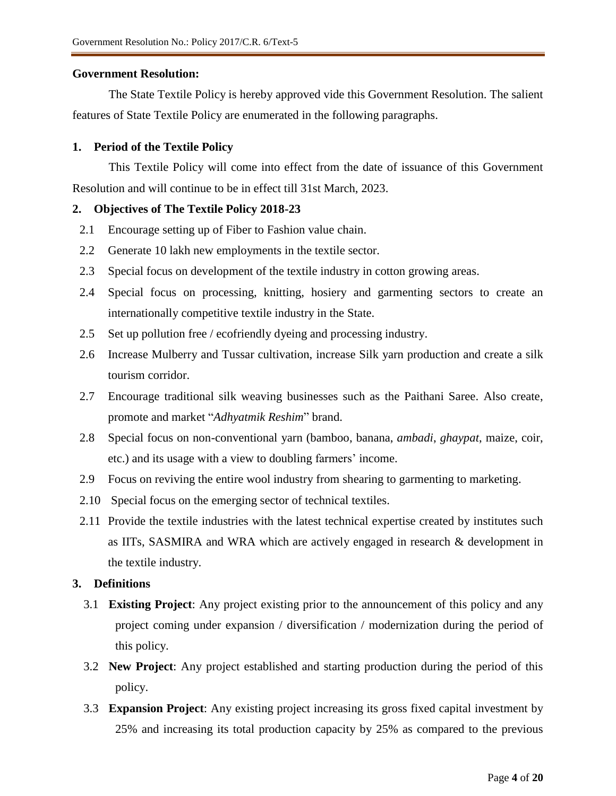## **Government Resolution:**

The State Textile Policy is hereby approved vide this Government Resolution. The salient features of State Textile Policy are enumerated in the following paragraphs.

# **1. Period of the Textile Policy**

This Textile Policy will come into effect from the date of issuance of this Government Resolution and will continue to be in effect till 31st March, 2023.

# **2. Objectives of The Textile Policy 2018-23**

- 2.1 Encourage setting up of Fiber to Fashion value chain.
- 2.2 Generate 10 lakh new employments in the textile sector.
- 2.3 Special focus on development of the textile industry in cotton growing areas.
- 2.4 Special focus on processing, knitting, hosiery and garmenting sectors to create an internationally competitive textile industry in the State.
- 2.5 Set up pollution free / ecofriendly dyeing and processing industry.
- 2.6 Increase Mulberry and Tussar cultivation, increase Silk yarn production and create a silk tourism corridor.
- 2.7 Encourage traditional silk weaving businesses such as the Paithani Saree. Also create, promote and market "*Adhyatmik Reshim*" brand.
- 2.8 Special focus on non-conventional yarn (bamboo, banana, *ambadi*, *ghaypat*, maize, coir, etc.) and its usage with a view to doubling farmers' income.
- 2.9 Focus on reviving the entire wool industry from shearing to garmenting to marketing.
- 2.10 Special focus on the emerging sector of technical textiles.
- 2.11 Provide the textile industries with the latest technical expertise created by institutes such as IITs, SASMIRA and WRA which are actively engaged in research & development in the textile industry.

# **3. Definitions**

- 3.1 **Existing Project**: Any project existing prior to the announcement of this policy and any project coming under expansion / diversification / modernization during the period of this policy.
- 3.2 **New Project**: Any project established and starting production during the period of this policy.
- 3.3 **Expansion Project**: Any existing project increasing its gross fixed capital investment by 25% and increasing its total production capacity by 25% as compared to the previous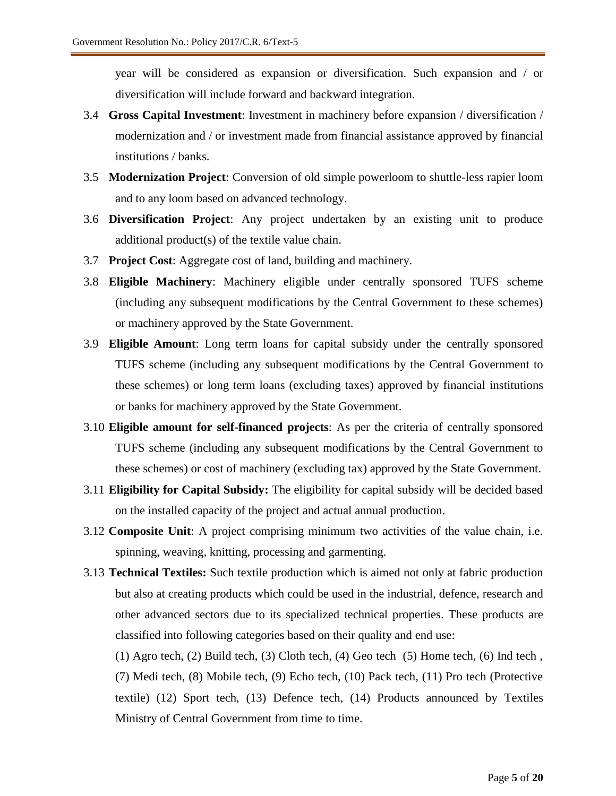year will be considered as expansion or diversification. Such expansion and / or diversification will include forward and backward integration.

- 3.4 **Gross Capital Investment**: Investment in machinery before expansion / diversification / modernization and / or investment made from financial assistance approved by financial institutions / banks.
- 3.5 **Modernization Project**: Conversion of old simple powerloom to shuttle-less rapier loom and to any loom based on advanced technology.
- 3.6 **Diversification Project**: Any project undertaken by an existing unit to produce additional product(s) of the textile value chain.
- 3.7 **Project Cost**: Aggregate cost of land, building and machinery.
- 3.8 **Eligible Machinery**: Machinery eligible under centrally sponsored TUFS scheme (including any subsequent modifications by the Central Government to these schemes) or machinery approved by the State Government.
- 3.9 **Eligible Amount**: Long term loans for capital subsidy under the centrally sponsored TUFS scheme (including any subsequent modifications by the Central Government to these schemes) or long term loans (excluding taxes) approved by financial institutions or banks for machinery approved by the State Government.
- 3.10 **Eligible amount for self-financed projects**: As per the criteria of centrally sponsored TUFS scheme (including any subsequent modifications by the Central Government to these schemes) or cost of machinery (excluding tax) approved by the State Government.
- 3.11 **Eligibility for Capital Subsidy:** The eligibility for capital subsidy will be decided based on the installed capacity of the project and actual annual production.
- 3.12 **Composite Unit**: A project comprising minimum two activities of the value chain, i.e. spinning, weaving, knitting, processing and garmenting.
- 3.13 **Technical Textiles:** Such textile production which is aimed not only at fabric production but also at creating products which could be used in the industrial, defence, research and other advanced sectors due to its specialized technical properties. These products are classified into following categories based on their quality and end use:

(1) Agro tech, (2) Build tech, (3) Cloth tech, (4) Geo tech (5) Home tech, (6) Ind tech , (7) Medi tech, (8) Mobile tech, (9) Echo tech, (10) Pack tech, (11) Pro tech (Protective textile) (12) Sport tech, (13) Defence tech, (14) Products announced by Textiles Ministry of Central Government from time to time.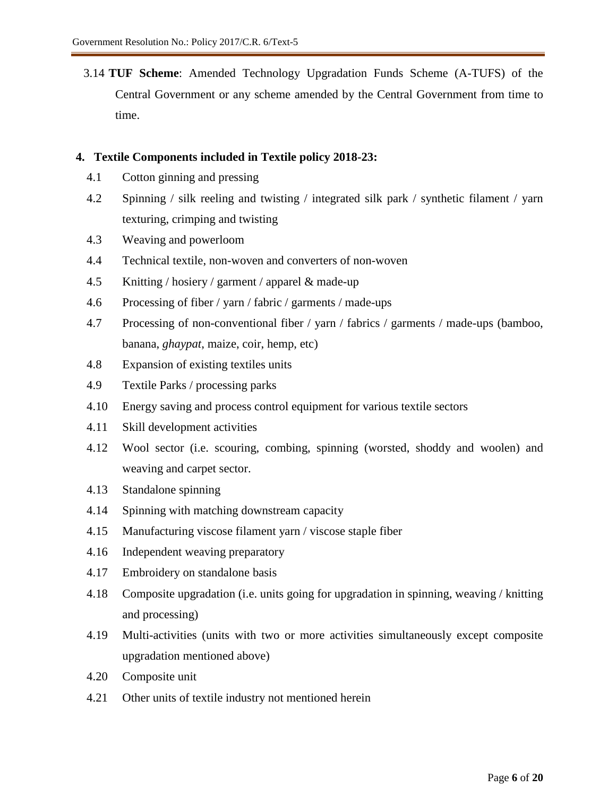3.14 **TUF Scheme**: Amended Technology Upgradation Funds Scheme (A-TUFS) of the Central Government or any scheme amended by the Central Government from time to time.

## **4. Textile Components included in Textile policy 2018-23:**

- 4.1 Cotton ginning and pressing
- 4.2 Spinning / silk reeling and twisting / integrated silk park / synthetic filament / yarn texturing, crimping and twisting
- 4.3 Weaving and powerloom
- 4.4 Technical textile, non-woven and converters of non-woven
- 4.5 Knitting / hosiery / garment / apparel & made-up
- 4.6 Processing of fiber / yarn / fabric / garments / made-ups
- 4.7 Processing of non-conventional fiber / yarn / fabrics / garments / made-ups (bamboo, banana, *ghaypat*, maize, coir, hemp, etc)
- 4.8 Expansion of existing textiles units
- 4.9 Textile Parks / processing parks
- 4.10 Energy saving and process control equipment for various textile sectors
- 4.11 Skill development activities
- 4.12 Wool sector (i.e. scouring, combing, spinning (worsted, shoddy and woolen) and weaving and carpet sector.
- 4.13 Standalone spinning
- 4.14 Spinning with matching downstream capacity
- 4.15 Manufacturing viscose filament yarn / viscose staple fiber
- 4.16 Independent weaving preparatory
- 4.17 Embroidery on standalone basis
- 4.18 Composite upgradation (i.e. units going for upgradation in spinning, weaving / knitting and processing)
- 4.19 Multi-activities (units with two or more activities simultaneously except composite upgradation mentioned above)
- 4.20 Composite unit
- 4.21 Other units of textile industry not mentioned herein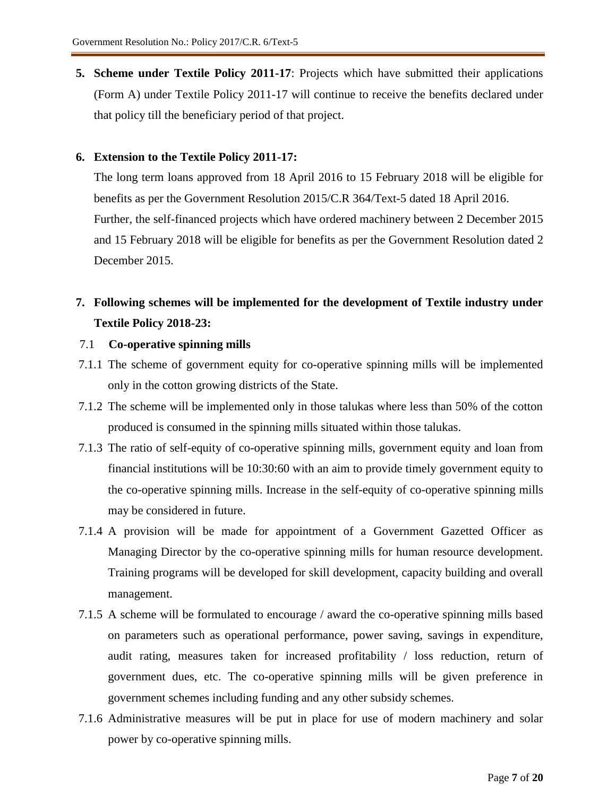**5. Scheme under Textile Policy 2011-17**: Projects which have submitted their applications (Form A) under Textile Policy 2011-17 will continue to receive the benefits declared under that policy till the beneficiary period of that project.

## **6. Extension to the Textile Policy 2011-17:**

The long term loans approved from 18 April 2016 to 15 February 2018 will be eligible for benefits as per the Government Resolution 2015/C.R 364/Text-5 dated 18 April 2016. Further, the self-financed projects which have ordered machinery between 2 December 2015 and 15 February 2018 will be eligible for benefits as per the Government Resolution dated 2 December 2015.

# **7. Following schemes will be implemented for the development of Textile industry under Textile Policy 2018-23:**

- 7.1 **Co-operative spinning mills**
- 7.1.1 The scheme of government equity for co-operative spinning mills will be implemented only in the cotton growing districts of the State.
- 7.1.2 The scheme will be implemented only in those talukas where less than 50% of the cotton produced is consumed in the spinning mills situated within those talukas.
- 7.1.3 The ratio of self-equity of co-operative spinning mills, government equity and loan from financial institutions will be 10:30:60 with an aim to provide timely government equity to the co-operative spinning mills. Increase in the self-equity of co-operative spinning mills may be considered in future.
- 7.1.4 A provision will be made for appointment of a Government Gazetted Officer as Managing Director by the co-operative spinning mills for human resource development. Training programs will be developed for skill development, capacity building and overall management.
- 7.1.5 A scheme will be formulated to encourage / award the co-operative spinning mills based on parameters such as operational performance, power saving, savings in expenditure, audit rating, measures taken for increased profitability / loss reduction, return of government dues, etc. The co-operative spinning mills will be given preference in government schemes including funding and any other subsidy schemes.
- 7.1.6 Administrative measures will be put in place for use of modern machinery and solar power by co-operative spinning mills.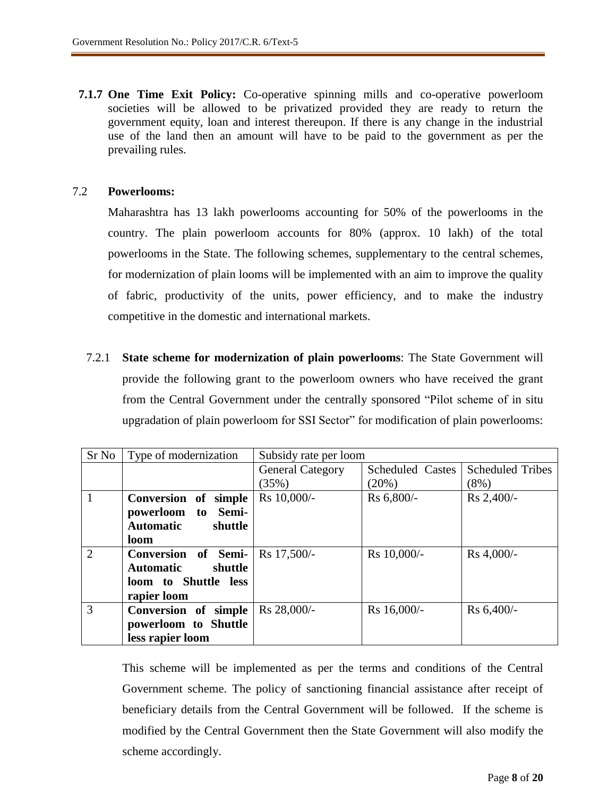**7.1.7 One Time Exit Policy:** Co-operative spinning mills and co-operative powerloom societies will be allowed to be privatized provided they are ready to return the government equity, loan and interest thereupon. If there is any change in the industrial use of the land then an amount will have to be paid to the government as per the prevailing rules.

## 7.2 **Powerlooms:**

Maharashtra has 13 lakh powerlooms accounting for 50% of the powerlooms in the country. The plain powerloom accounts for 80% (approx. 10 lakh) of the total powerlooms in the State. The following schemes, supplementary to the central schemes, for modernization of plain looms will be implemented with an aim to improve the quality of fabric, productivity of the units, power efficiency, and to make the industry competitive in the domestic and international markets.

7.2.1 **State scheme for modernization of plain powerlooms**: The State Government will provide the following grant to the powerloom owners who have received the grant from the Central Government under the centrally sponsored "Pilot scheme of in situ upgradation of plain powerloom for SSI Sector" for modification of plain powerlooms:

| Sr No          | Type of modernization       | Subsidy rate per loom   |                         |                         |  |  |
|----------------|-----------------------------|-------------------------|-------------------------|-------------------------|--|--|
|                |                             | <b>General Category</b> | <b>Scheduled Castes</b> | <b>Scheduled Tribes</b> |  |  |
|                |                             | (35%)                   | (20%)                   | $(8\%)$                 |  |  |
| 1              | Conversion of simple        | Rs 10,000/-             | Rs 6,800/-              | Rs 2,400/-              |  |  |
|                | powerloom to Semi-          |                         |                         |                         |  |  |
|                | <b>Automatic</b><br>shuttle |                         |                         |                         |  |  |
|                | loom                        |                         |                         |                         |  |  |
| $\overline{2}$ | Conversion of Semi-         | Rs 17,500/-             | Rs 10,000/-             | Rs 4,000/-              |  |  |
|                | <b>Automatic</b><br>shuttle |                         |                         |                         |  |  |
|                | loom to Shuttle less        |                         |                         |                         |  |  |
|                | rapier loom                 |                         |                         |                         |  |  |
| 3              | Conversion of simple        | Rs 28,000/-             | Rs 16,000/-             | Rs 6,400/-              |  |  |
|                | powerloom to Shuttle        |                         |                         |                         |  |  |
|                | less rapier loom            |                         |                         |                         |  |  |

This scheme will be implemented as per the terms and conditions of the Central Government scheme. The policy of sanctioning financial assistance after receipt of beneficiary details from the Central Government will be followed. If the scheme is modified by the Central Government then the State Government will also modify the scheme accordingly.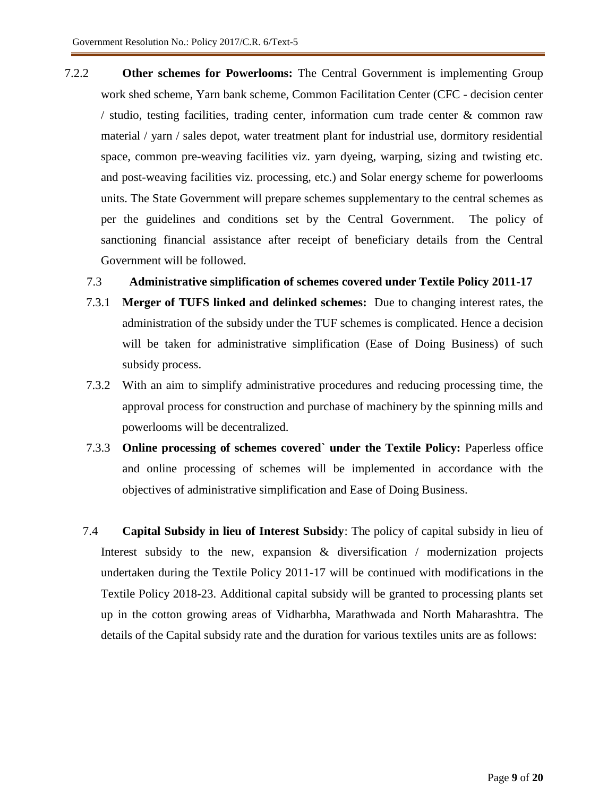7.2.2 **Other schemes for Powerlooms:** The Central Government is implementing Group work shed scheme, Yarn bank scheme, Common Facilitation Center (CFC - decision center / studio, testing facilities, trading center, information cum trade center & common raw material / yarn / sales depot, water treatment plant for industrial use, dormitory residential space, common pre-weaving facilities viz. yarn dyeing, warping, sizing and twisting etc. and post-weaving facilities viz. processing, etc.) and Solar energy scheme for powerlooms units. The State Government will prepare schemes supplementary to the central schemes as per the guidelines and conditions set by the Central Government. The policy of sanctioning financial assistance after receipt of beneficiary details from the Central Government will be followed.

# 7.3 **Administrative simplification of schemes covered under Textile Policy 2011-17**

- 7.3.1 **Merger of TUFS linked and delinked schemes:** Due to changing interest rates, the administration of the subsidy under the TUF schemes is complicated. Hence a decision will be taken for administrative simplification (Ease of Doing Business) of such subsidy process.
- 7.3.2 With an aim to simplify administrative procedures and reducing processing time, the approval process for construction and purchase of machinery by the spinning mills and powerlooms will be decentralized.
- 7.3.3 **Online processing of schemes covered` under the Textile Policy:** Paperless office and online processing of schemes will be implemented in accordance with the objectives of administrative simplification and Ease of Doing Business.
- 7.4 **Capital Subsidy in lieu of Interest Subsidy**: The policy of capital subsidy in lieu of Interest subsidy to the new, expansion & diversification / modernization projects undertaken during the Textile Policy 2011-17 will be continued with modifications in the Textile Policy 2018-23. Additional capital subsidy will be granted to processing plants set up in the cotton growing areas of Vidharbha, Marathwada and North Maharashtra. The details of the Capital subsidy rate and the duration for various textiles units are as follows: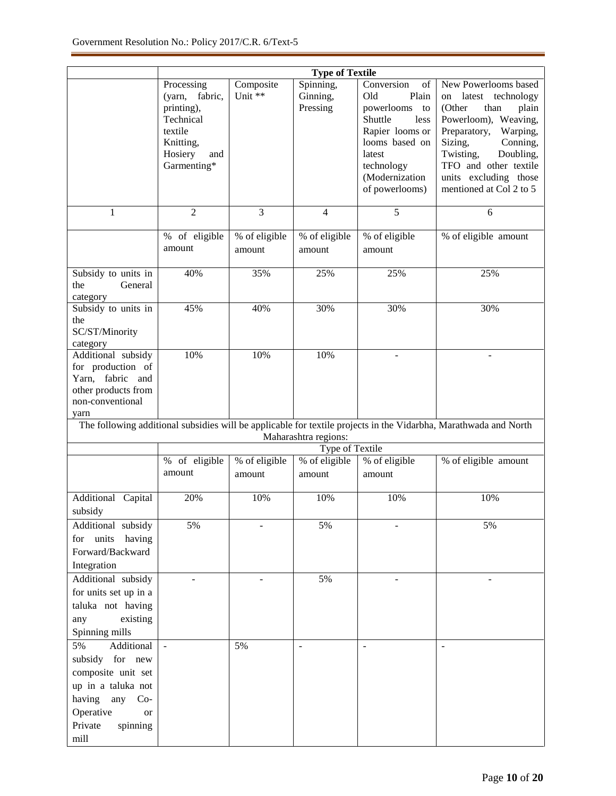|                                                                                                                                                                    | <b>Type of Textile</b>                                                                                              |                         |                                   |                                                                                                                                                                          |                                                                                                                                                                                                                                                              |  |  |  |
|--------------------------------------------------------------------------------------------------------------------------------------------------------------------|---------------------------------------------------------------------------------------------------------------------|-------------------------|-----------------------------------|--------------------------------------------------------------------------------------------------------------------------------------------------------------------------|--------------------------------------------------------------------------------------------------------------------------------------------------------------------------------------------------------------------------------------------------------------|--|--|--|
|                                                                                                                                                                    | Processing<br>(yarn,<br>fabric,<br>printing),<br>Technical<br>textile<br>Knitting,<br>Hosiery<br>and<br>Garmenting* | Composite<br>Unit **    | Spinning,<br>Ginning,<br>Pressing | Conversion<br>of<br>Plain<br>Old<br>powerlooms<br>to<br>Shuttle<br>less<br>Rapier looms or<br>looms based on<br>latest<br>technology<br>(Modernization<br>of powerlooms) | New Powerlooms based<br>on latest<br>technology<br>(Other<br>than<br>plain<br>Powerloom), Weaving,<br>Preparatory,<br>Warping,<br>Sizing,<br>Conning,<br>Twisting,<br>Doubling,<br>TFO and other textile<br>units excluding those<br>mentioned at Col 2 to 5 |  |  |  |
| 1                                                                                                                                                                  | $\overline{2}$                                                                                                      | 3                       | $\overline{4}$                    | $\overline{5}$                                                                                                                                                           | 6                                                                                                                                                                                                                                                            |  |  |  |
|                                                                                                                                                                    | $\overline{\%}$ of eligible<br>amount                                                                               | % of eligible<br>amount | % of eligible<br>amount           | % of eligible<br>amount                                                                                                                                                  | % of eligible amount                                                                                                                                                                                                                                         |  |  |  |
| Subsidy to units in<br>General<br>the<br>category                                                                                                                  | 40%                                                                                                                 | 35%                     | 25%                               | 25%                                                                                                                                                                      | 25%                                                                                                                                                                                                                                                          |  |  |  |
| Subsidy to units in<br>the<br>SC/ST/Minority<br>category                                                                                                           | 45%                                                                                                                 | 40%                     | 30%                               | 30%                                                                                                                                                                      | 30%                                                                                                                                                                                                                                                          |  |  |  |
| Additional subsidy<br>for production of<br>Yarn, fabric and<br>other products from<br>non-conventional<br>yarn                                                     | 10%                                                                                                                 | 10%                     | 10%                               | $\overline{a}$                                                                                                                                                           | $\overline{a}$                                                                                                                                                                                                                                               |  |  |  |
| The following additional subsidies will be applicable for textile projects in the Vidarbha, Marathwada and North<br>Maharashtra regions:                           |                                                                                                                     |                         |                                   |                                                                                                                                                                          |                                                                                                                                                                                                                                                              |  |  |  |
|                                                                                                                                                                    |                                                                                                                     |                         | Type of Textile                   |                                                                                                                                                                          |                                                                                                                                                                                                                                                              |  |  |  |
|                                                                                                                                                                    | % of eligible<br>amount                                                                                             | % of eligible<br>amount | % of eligible<br>amount           | % of eligible<br>amount                                                                                                                                                  | % of eligible amount                                                                                                                                                                                                                                         |  |  |  |
| Additional Capital<br>subsidy                                                                                                                                      | 20%                                                                                                                 | 10%                     | 10%                               | 10%                                                                                                                                                                      | 10%                                                                                                                                                                                                                                                          |  |  |  |
| Additional subsidy<br>for units having<br>Forward/Backward<br>Integration                                                                                          | 5%                                                                                                                  |                         | 5%                                |                                                                                                                                                                          | 5%                                                                                                                                                                                                                                                           |  |  |  |
| Additional subsidy<br>for units set up in a<br>taluka not having<br>existing<br>any<br>Spinning mills                                                              |                                                                                                                     |                         | 5%                                | ÷                                                                                                                                                                        |                                                                                                                                                                                                                                                              |  |  |  |
| Additional<br>5%<br>subsidy for new<br>composite unit set<br>up in a taluka not<br>having<br>any<br>$Co-$<br>Operative<br><b>or</b><br>Private<br>spinning<br>mill | $\equiv$                                                                                                            | 5%                      | $\overline{\phantom{a}}$          | $\overline{\phantom{a}}$                                                                                                                                                 | $\overline{a}$                                                                                                                                                                                                                                               |  |  |  |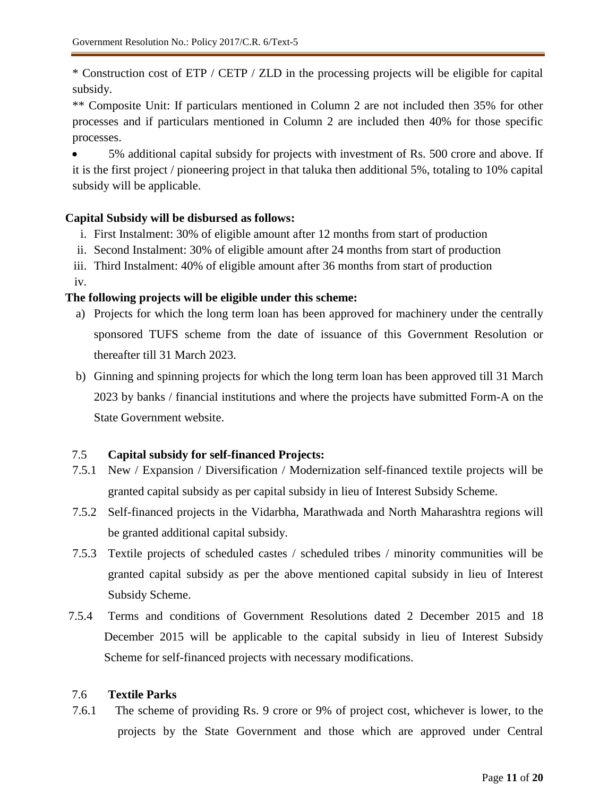\* Construction cost of ETP / CETP / ZLD in the processing projects will be eligible for capital subsidy.

\*\* Composite Unit: If particulars mentioned in Column 2 are not included then 35% for other processes and if particulars mentioned in Column 2 are included then 40% for those specific processes.

 5% additional capital subsidy for projects with investment of Rs. 500 crore and above. If it is the first project / pioneering project in that taluka then additional 5%, totaling to 10% capital subsidy will be applicable.

# **Capital Subsidy will be disbursed as follows:**

- i. First Instalment: 30% of eligible amount after 12 months from start of production
- ii. Second Instalment: 30% of eligible amount after 24 months from start of production
- iii. Third Instalment: 40% of eligible amount after 36 months from start of production

iv.

# **The following projects will be eligible under this scheme:**

- a) Projects for which the long term loan has been approved for machinery under the centrally sponsored TUFS scheme from the date of issuance of this Government Resolution or thereafter till 31 March 2023.
- b) Ginning and spinning projects for which the long term loan has been approved till 31 March 2023 by banks / financial institutions and where the projects have submitted Form-A on the State Government website.

# 7.5 **Capital subsidy for self-financed Projects:**

- 7.5.1 New / Expansion / Diversification / Modernization self-financed textile projects will be granted capital subsidy as per capital subsidy in lieu of Interest Subsidy Scheme.
- 7.5.2 Self-financed projects in the Vidarbha, Marathwada and North Maharashtra regions will be granted additional capital subsidy.
- 7.5.3 Textile projects of scheduled castes / scheduled tribes / minority communities will be granted capital subsidy as per the above mentioned capital subsidy in lieu of Interest Subsidy Scheme.
- 7.5.4 Terms and conditions of Government Resolutions dated 2 December 2015 and 18 December 2015 will be applicable to the capital subsidy in lieu of Interest Subsidy Scheme for self-financed projects with necessary modifications.

# 7.6 **Textile Parks**

7.6.1 The scheme of providing Rs. 9 crore or 9% of project cost, whichever is lower, to the projects by the State Government and those which are approved under Central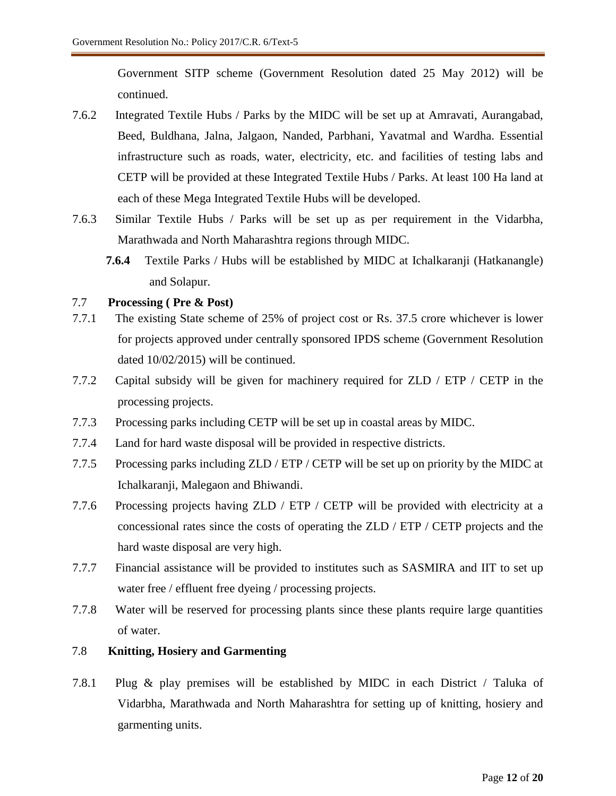Government SITP scheme (Government Resolution dated 25 May 2012) will be continued.

- 7.6.2 Integrated Textile Hubs / Parks by the MIDC will be set up at Amravati, Aurangabad, Beed, Buldhana, Jalna, Jalgaon, Nanded, Parbhani, Yavatmal and Wardha. Essential infrastructure such as roads, water, electricity, etc. and facilities of testing labs and CETP will be provided at these Integrated Textile Hubs / Parks. At least 100 Ha land at each of these Mega Integrated Textile Hubs will be developed.
- 7.6.3 Similar Textile Hubs / Parks will be set up as per requirement in the Vidarbha, Marathwada and North Maharashtra regions through MIDC.
	- **7.6.4** Textile Parks / Hubs will be established by MIDC at Ichalkaranji (Hatkanangle) and Solapur.

## 7.7 **Processing ( Pre & Post)**

- 7.7.1 The existing State scheme of 25% of project cost or Rs. 37.5 crore whichever is lower for projects approved under centrally sponsored IPDS scheme (Government Resolution dated 10/02/2015) will be continued.
- 7.7.2 Capital subsidy will be given for machinery required for ZLD / ETP / CETP in the processing projects.
- 7.7.3 Processing parks including CETP will be set up in coastal areas by MIDC.
- 7.7.4 Land for hard waste disposal will be provided in respective districts.
- 7.7.5 Processing parks including ZLD / ETP / CETP will be set up on priority by the MIDC at Ichalkaranji, Malegaon and Bhiwandi.
- 7.7.6 Processing projects having ZLD / ETP / CETP will be provided with electricity at a concessional rates since the costs of operating the ZLD / ETP / CETP projects and the hard waste disposal are very high.
- 7.7.7 Financial assistance will be provided to institutes such as SASMIRA and IIT to set up water free / effluent free dyeing / processing projects.
- 7.7.8 Water will be reserved for processing plants since these plants require large quantities of water.

## 7.8 **Knitting, Hosiery and Garmenting**

7.8.1 Plug & play premises will be established by MIDC in each District / Taluka of Vidarbha, Marathwada and North Maharashtra for setting up of knitting, hosiery and garmenting units.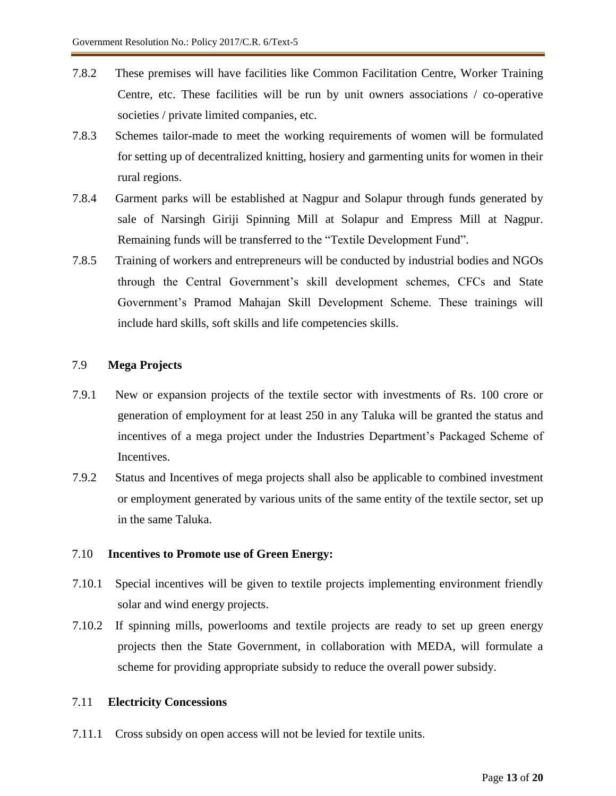- 7.8.2 These premises will have facilities like Common Facilitation Centre, Worker Training Centre, etc. These facilities will be run by unit owners associations / co-operative societies / private limited companies, etc.
- 7.8.3 Schemes tailor-made to meet the working requirements of women will be formulated for setting up of decentralized knitting, hosiery and garmenting units for women in their rural regions.
- 7.8.4 Garment parks will be established at Nagpur and Solapur through funds generated by sale of Narsingh Giriji Spinning Mill at Solapur and Empress Mill at Nagpur. Remaining funds will be transferred to the "Textile Development Fund".
- 7.8.5 Training of workers and entrepreneurs will be conducted by industrial bodies and NGOs through the Central Government's skill development schemes, CFCs and State Government's Pramod Mahajan Skill Development Scheme. These trainings will include hard skills, soft skills and life competencies skills.

## 7.9 **Mega Projects**

- 7.9.1 New or expansion projects of the textile sector with investments of Rs. 100 crore or generation of employment for at least 250 in any Taluka will be granted the status and incentives of a mega project under the Industries Department's Packaged Scheme of Incentives.
- 7.9.2 Status and Incentives of mega projects shall also be applicable to combined investment or employment generated by various units of the same entity of the textile sector, set up in the same Taluka.

## 7.10 **Incentives to Promote use of Green Energy:**

- 7.10.1 Special incentives will be given to textile projects implementing environment friendly solar and wind energy projects.
- 7.10.2 If spinning mills, powerlooms and textile projects are ready to set up green energy projects then the State Government, in collaboration with MEDA, will formulate a scheme for providing appropriate subsidy to reduce the overall power subsidy.

# 7.11 **Electricity Concessions**

7.11.1 Cross subsidy on open access will not be levied for textile units.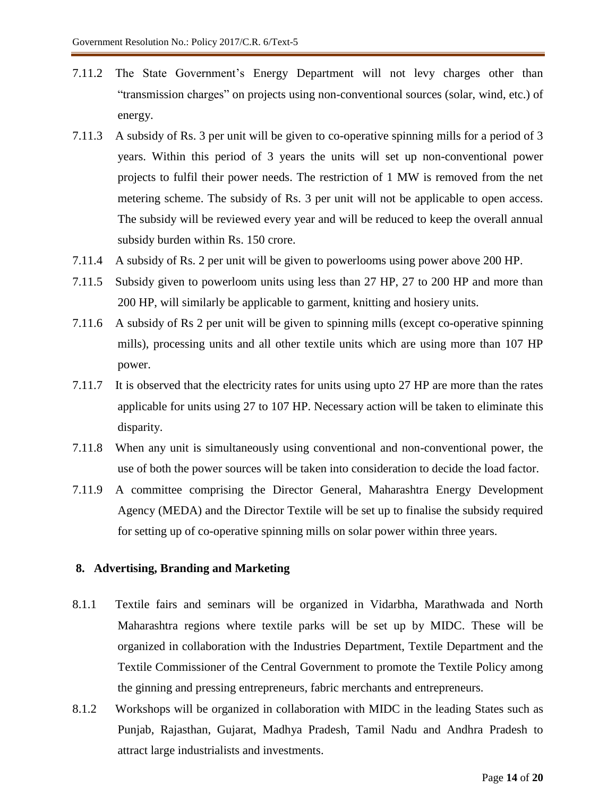- 7.11.2 The State Government's Energy Department will not levy charges other than "transmission charges" on projects using non-conventional sources (solar, wind, etc.) of energy.
- 7.11.3 A subsidy of Rs. 3 per unit will be given to co-operative spinning mills for a period of 3 years. Within this period of 3 years the units will set up non-conventional power projects to fulfil their power needs. The restriction of 1 MW is removed from the net metering scheme. The subsidy of Rs. 3 per unit will not be applicable to open access. The subsidy will be reviewed every year and will be reduced to keep the overall annual subsidy burden within Rs. 150 crore.
- 7.11.4 A subsidy of Rs. 2 per unit will be given to powerlooms using power above 200 HP.
- 7.11.5 Subsidy given to powerloom units using less than 27 HP, 27 to 200 HP and more than 200 HP, will similarly be applicable to garment, knitting and hosiery units.
- 7.11.6 A subsidy of Rs 2 per unit will be given to spinning mills (except co-operative spinning mills), processing units and all other textile units which are using more than 107 HP power.
- 7.11.7 It is observed that the electricity rates for units using upto 27 HP are more than the rates applicable for units using 27 to 107 HP. Necessary action will be taken to eliminate this disparity.
- 7.11.8 When any unit is simultaneously using conventional and non-conventional power, the use of both the power sources will be taken into consideration to decide the load factor.
- 7.11.9 A committee comprising the Director General, Maharashtra Energy Development Agency (MEDA) and the Director Textile will be set up to finalise the subsidy required for setting up of co-operative spinning mills on solar power within three years.

#### **8. Advertising, Branding and Marketing**

- 8.1.1 Textile fairs and seminars will be organized in Vidarbha, Marathwada and North Maharashtra regions where textile parks will be set up by MIDC. These will be organized in collaboration with the Industries Department, Textile Department and the Textile Commissioner of the Central Government to promote the Textile Policy among the ginning and pressing entrepreneurs, fabric merchants and entrepreneurs.
- 8.1.2 Workshops will be organized in collaboration with MIDC in the leading States such as Punjab, Rajasthan, Gujarat, Madhya Pradesh, Tamil Nadu and Andhra Pradesh to attract large industrialists and investments.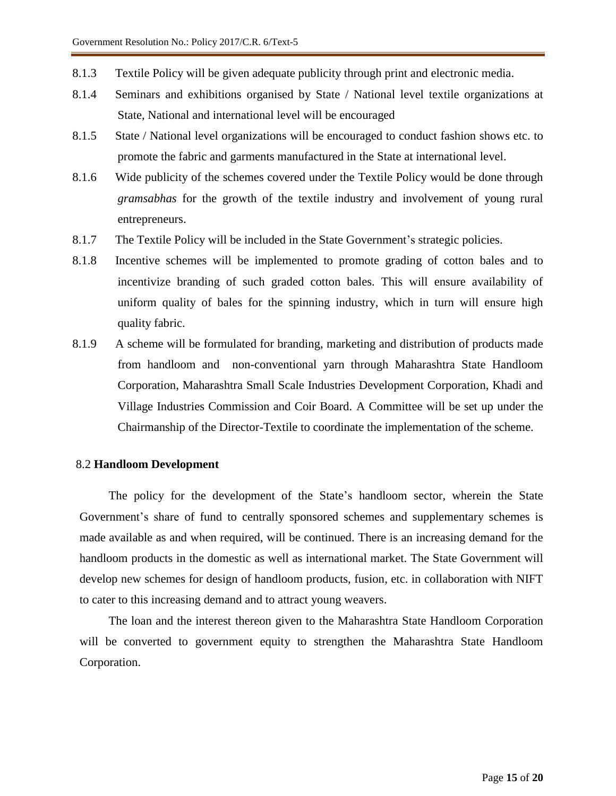- 8.1.3 Textile Policy will be given adequate publicity through print and electronic media.
- 8.1.4 Seminars and exhibitions organised by State / National level textile organizations at State, National and international level will be encouraged
- 8.1.5 State / National level organizations will be encouraged to conduct fashion shows etc. to promote the fabric and garments manufactured in the State at international level.
- 8.1.6 Wide publicity of the schemes covered under the Textile Policy would be done through *gramsabhas* for the growth of the textile industry and involvement of young rural entrepreneurs.
- 8.1.7 The Textile Policy will be included in the State Government's strategic policies.
- 8.1.8 Incentive schemes will be implemented to promote grading of cotton bales and to incentivize branding of such graded cotton bales. This will ensure availability of uniform quality of bales for the spinning industry, which in turn will ensure high quality fabric.
- 8.1.9 A scheme will be formulated for branding, marketing and distribution of products made from handloom and non-conventional yarn through Maharashtra State Handloom Corporation, Maharashtra Small Scale Industries Development Corporation, Khadi and Village Industries Commission and Coir Board. A Committee will be set up under the Chairmanship of the Director-Textile to coordinate the implementation of the scheme.

#### 8.2 **Handloom Development**

The policy for the development of the State's handloom sector, wherein the State Government's share of fund to centrally sponsored schemes and supplementary schemes is made available as and when required, will be continued. There is an increasing demand for the handloom products in the domestic as well as international market. The State Government will develop new schemes for design of handloom products, fusion, etc. in collaboration with NIFT to cater to this increasing demand and to attract young weavers.

The loan and the interest thereon given to the Maharashtra State Handloom Corporation will be converted to government equity to strengthen the Maharashtra State Handloom Corporation.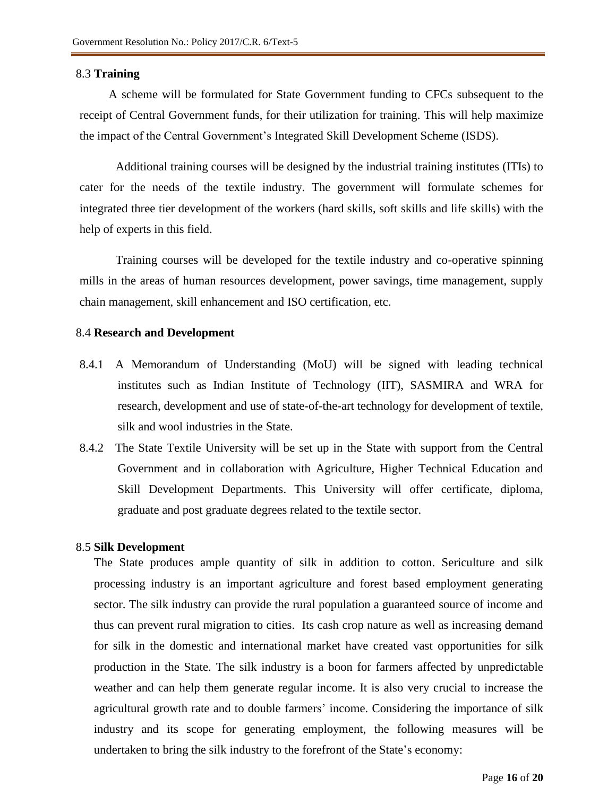#### 8.3 **Training**

A scheme will be formulated for State Government funding to CFCs subsequent to the receipt of Central Government funds, for their utilization for training. This will help maximize the impact of the Central Government's Integrated Skill Development Scheme (ISDS).

Additional training courses will be designed by the industrial training institutes (ITIs) to cater for the needs of the textile industry. The government will formulate schemes for integrated three tier development of the workers (hard skills, soft skills and life skills) with the help of experts in this field.

Training courses will be developed for the textile industry and co-operative spinning mills in the areas of human resources development, power savings, time management, supply chain management, skill enhancement and ISO certification, etc.

#### 8.4 **Research and Development**

- 8.4.1 A Memorandum of Understanding (MoU) will be signed with leading technical institutes such as Indian Institute of Technology (IIT), SASMIRA and WRA for research, development and use of state-of-the-art technology for development of textile, silk and wool industries in the State.
- 8.4.2 The State Textile University will be set up in the State with support from the Central Government and in collaboration with Agriculture, Higher Technical Education and Skill Development Departments. This University will offer certificate, diploma, graduate and post graduate degrees related to the textile sector.

#### 8.5 **Silk Development**

The State produces ample quantity of silk in addition to cotton. Sericulture and silk processing industry is an important agriculture and forest based employment generating sector. The silk industry can provide the rural population a guaranteed source of income and thus can prevent rural migration to cities. Its cash crop nature as well as increasing demand for silk in the domestic and international market have created vast opportunities for silk production in the State. The silk industry is a boon for farmers affected by unpredictable weather and can help them generate regular income. It is also very crucial to increase the agricultural growth rate and to double farmers' income. Considering the importance of silk industry and its scope for generating employment, the following measures will be undertaken to bring the silk industry to the forefront of the State's economy: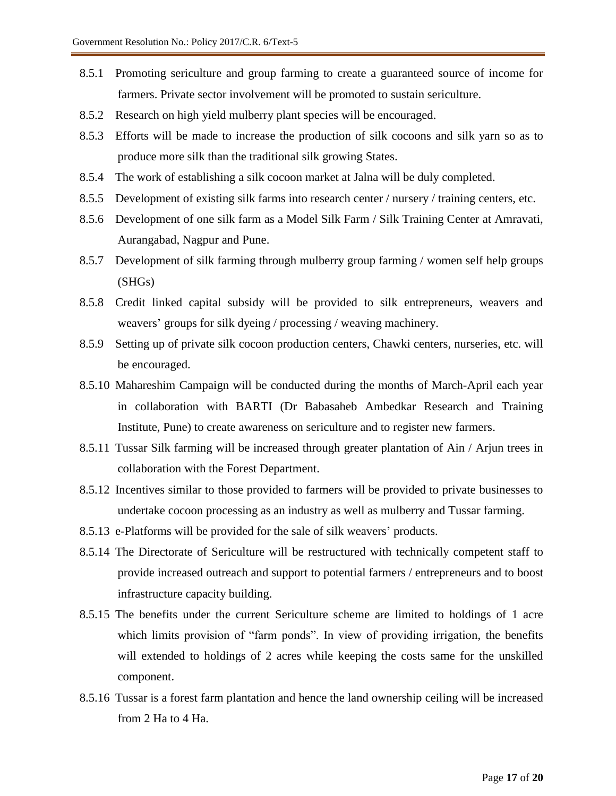- 8.5.1 Promoting sericulture and group farming to create a guaranteed source of income for farmers. Private sector involvement will be promoted to sustain sericulture.
- 8.5.2 Research on high yield mulberry plant species will be encouraged.
- 8.5.3 Efforts will be made to increase the production of silk cocoons and silk yarn so as to produce more silk than the traditional silk growing States.
- 8.5.4 The work of establishing a silk cocoon market at Jalna will be duly completed.
- 8.5.5 Development of existing silk farms into research center / nursery / training centers, etc.
- 8.5.6 Development of one silk farm as a Model Silk Farm / Silk Training Center at Amravati, Aurangabad, Nagpur and Pune.
- 8.5.7 Development of silk farming through mulberry group farming / women self help groups (SHGs)
- 8.5.8 Credit linked capital subsidy will be provided to silk entrepreneurs, weavers and weavers' groups for silk dyeing / processing / weaving machinery.
- 8.5.9 Setting up of private silk cocoon production centers, Chawki centers, nurseries, etc. will be encouraged.
- 8.5.10 Mahareshim Campaign will be conducted during the months of March-April each year in collaboration with BARTI (Dr Babasaheb Ambedkar Research and Training Institute, Pune) to create awareness on sericulture and to register new farmers.
- 8.5.11 Tussar Silk farming will be increased through greater plantation of Ain / Arjun trees in collaboration with the Forest Department.
- 8.5.12 Incentives similar to those provided to farmers will be provided to private businesses to undertake cocoon processing as an industry as well as mulberry and Tussar farming.
- 8.5.13 e-Platforms will be provided for the sale of silk weavers' products.
- 8.5.14 The Directorate of Sericulture will be restructured with technically competent staff to provide increased outreach and support to potential farmers / entrepreneurs and to boost infrastructure capacity building.
- 8.5.15 The benefits under the current Sericulture scheme are limited to holdings of 1 acre which limits provision of "farm ponds". In view of providing irrigation, the benefits will extended to holdings of 2 acres while keeping the costs same for the unskilled component.
- 8.5.16 Tussar is a forest farm plantation and hence the land ownership ceiling will be increased from 2 Ha to 4 Ha.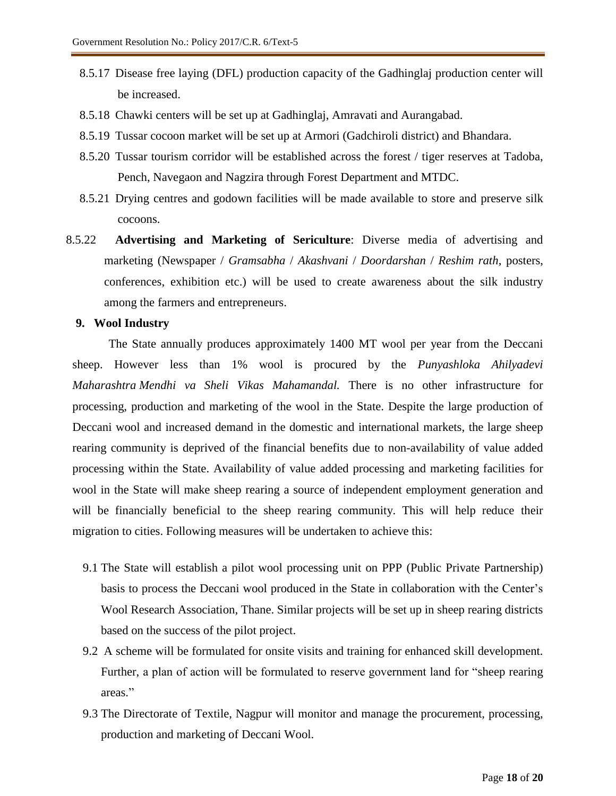- 8.5.17 Disease free laying (DFL) production capacity of the Gadhinglaj production center will be increased.
- 8.5.18 Chawki centers will be set up at Gadhinglaj, Amravati and Aurangabad.
- 8.5.19 Tussar cocoon market will be set up at Armori (Gadchiroli district) and Bhandara.
- 8.5.20 Tussar tourism corridor will be established across the forest / tiger reserves at Tadoba, Pench, Navegaon and Nagzira through Forest Department and MTDC.
- 8.5.21 Drying centres and godown facilities will be made available to store and preserve silk cocoons.
- 8.5.22 **Advertising and Marketing of Sericulture**: Diverse media of advertising and marketing (Newspaper / *Gramsabha* / *Akashvani* / *Doordarshan* / *Reshim rath*, posters, conferences, exhibition etc.) will be used to create awareness about the silk industry among the farmers and entrepreneurs.

#### **9. Wool Industry**

The State annually produces approximately 1400 MT wool per year from the Deccani sheep. However less than 1% wool is procured by the *Punyashloka Ahilyadevi Maharashtra Mendhi va Sheli Vikas Mahamandal.* There is no other infrastructure for processing, production and marketing of the wool in the State. Despite the large production of Deccani wool and increased demand in the domestic and international markets, the large sheep rearing community is deprived of the financial benefits due to non-availability of value added processing within the State. Availability of value added processing and marketing facilities for wool in the State will make sheep rearing a source of independent employment generation and will be financially beneficial to the sheep rearing community. This will help reduce their migration to cities. Following measures will be undertaken to achieve this:

- 9.1 The State will establish a pilot wool processing unit on PPP (Public Private Partnership) basis to process the Deccani wool produced in the State in collaboration with the Center's Wool Research Association, Thane. Similar projects will be set up in sheep rearing districts based on the success of the pilot project.
- 9.2 A scheme will be formulated for onsite visits and training for enhanced skill development. Further, a plan of action will be formulated to reserve government land for "sheep rearing areas."
- 9.3 The Directorate of Textile, Nagpur will monitor and manage the procurement, processing, production and marketing of Deccani Wool.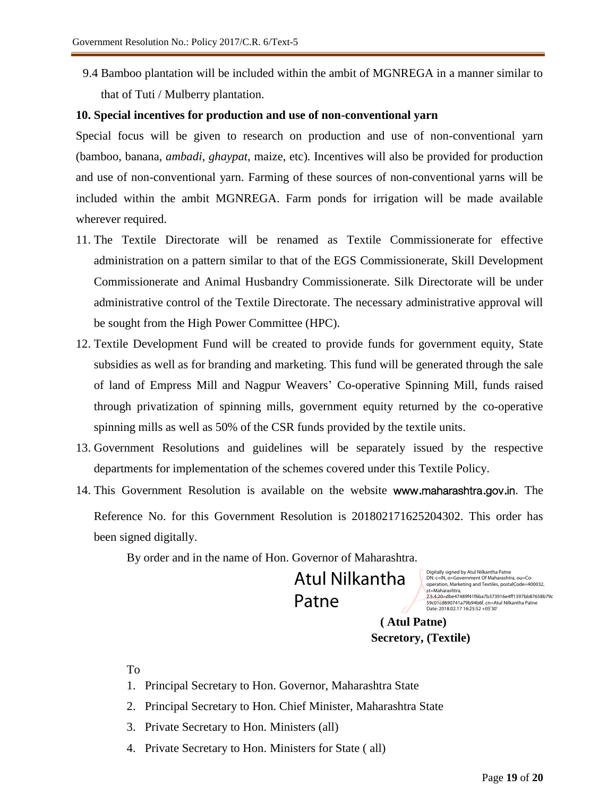9.4 Bamboo plantation will be included within the ambit of MGNREGA in a manner similar to that of Tuti / Mulberry plantation.

#### **10. Special incentives for production and use of non-conventional yarn**

Special focus will be given to research on production and use of non-conventional yarn (bamboo, banana, *ambadi, ghaypat*, maize, etc). Incentives will also be provided for production and use of non-conventional yarn. Farming of these sources of non-conventional yarns will be included within the ambit MGNREGA. Farm ponds for irrigation will be made available wherever required.

- 11. The Textile Directorate will be renamed as Textile Commissionerate for effective administration on a pattern similar to that of the EGS Commissionerate, Skill Development Commissionerate and Animal Husbandry Commissionerate. Silk Directorate will be under administrative control of the Textile Directorate. The necessary administrative approval will be sought from the High Power Committee (HPC).
- 12. Textile Development Fund will be created to provide funds for government equity, State subsidies as well as for branding and marketing. This fund will be generated through the sale of land of Empress Mill and Nagpur Weavers' Co-operative Spinning Mill, funds raised through privatization of spinning mills, government equity returned by the co-operative spinning mills as well as 50% of the CSR funds provided by the textile units.
- 13. Government Resolutions and guidelines will be separately issued by the respective departments for implementation of the schemes covered under this Textile Policy.
- 14. This Government Resolution is available on the website www.maharashtra.gov.in. The Reference No. for this Government Resolution is 201802171625204302. This order has been signed digitally.

By order and in the name of Hon. Governor of Maharashtra.

Atul Nilkantha Patne

Digitally signed by Atul Nilkantha Patne DN: c=IN, o=Government Of Maharashtra, ou=Co-operation, Marketing and Textiles, postalCode=400032, st=Maharashtra, 2.5.4.20=dbe47489f41f6ba7b373916e4ff1397bb87658b79c 59c01cd690741a79b94b6f, cn=Atul Nilkantha Patne Date: 2018.02.17 16:25:52 +05'30'

 **( Atul Patne) Secretory, (Textile)** 

To

- 1. Principal Secretary to Hon. Governor, Maharashtra State
- 2. Principal Secretary to Hon. Chief Minister, Maharashtra State
- 3. Private Secretary to Hon. Ministers (all)
- 4. Private Secretary to Hon. Ministers for State ( all)